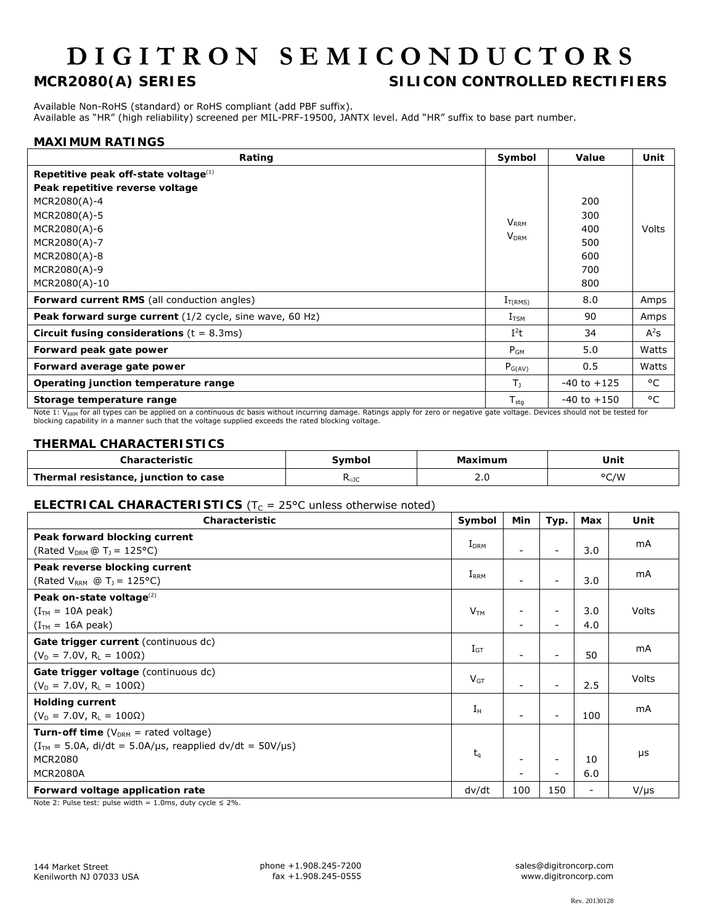# **DIGITRON SEMICONDUCTORS**

### **MCR2080(A) SERIES SILICON CONTROLLED RECTIFIERS**

Available Non-RoHS (standard) or RoHS compliant (add PBF suffix). Available as "HR" (high reliability) screened per MIL-PRF-19500, JANTX level. Add "HR" suffix to base part number.

#### **MAXIMUM RATINGS**

| Rating                                                   | Symbol                  | Value           | Unit   |
|----------------------------------------------------------|-------------------------|-----------------|--------|
| Repetitive peak off-state voltage $(1)$                  |                         |                 |        |
| Peak repetitive reverse voltage                          |                         |                 |        |
| MCR2080(A)-4                                             |                         | 200             |        |
| MCR2080(A)-5                                             | <b>V</b> <sub>RRM</sub> | 300             |        |
| MCR2080(A)-6                                             | <b>V<sub>DRM</sub></b>  | 400             | Volts  |
| MCR2080(A)-7                                             |                         | 500             |        |
| MCR2080(A)-8                                             |                         | 600             |        |
| MCR2080(A)-9                                             |                         | 700             |        |
| MCR2080(A)-10                                            |                         | 800             |        |
| <b>Forward current RMS</b> (all conduction angles)       | $I_{T(RMS)}$            | 8.0             | Amps   |
| Peak forward surge current (1/2 cycle, sine wave, 60 Hz) | $I_{TSM}$               | 90              | Amps   |
| Circuit fusing considerations $(t = 8.3 \text{ms})$      | $I^2t$                  | 34              | $A^2s$ |
| Forward peak gate power                                  | $P_{GM}$                | 5.0             | Watts  |
| Forward average gate power                               | $P_{G(AV)}$             | 0.5             | Watts  |
| Operating junction temperature range                     | T <sub>1</sub>          | $-40$ to $+125$ | °C     |
| Storage temperature range                                | $T_{\text{stg}}$        | $-40$ to $+150$ | °C     |

Note 1: V<sub>RRM</sub> for all types can be applied on a continuous dc basis without incurring damage. Ratings apply for zero or negative gate voltage. Devices should not be tested for blocking capability in a manner such that the voltage supplied exceeds the rated blocking voltage.

#### **THERMAL CHARACTERISTICS**

|                                                | `ymbol                 | the contract of the contract of the contract of the contract of the contract of the contract of the contract of | Unit                                  |
|------------------------------------------------|------------------------|-----------------------------------------------------------------------------------------------------------------|---------------------------------------|
| Thermal<br>, junction to case<br>' resistance, | י ∕⊖∪<br>$\sim$ $\sim$ | ے،ر<br>__                                                                                                       | $0$ $\cap$ $\Lambda\Lambda$<br>.<br>ີ |

#### **ELECTRICAL CHARACTERISTICS** (T<sub>C</sub> = 25°C unless otherwise noted)

| Characteristic                                                                                                                                      | Symbol            | Min                      | Typ.                                                 | Max                          | Unit      |
|-----------------------------------------------------------------------------------------------------------------------------------------------------|-------------------|--------------------------|------------------------------------------------------|------------------------------|-----------|
| Peak forward blocking current<br>(Rated $V_{DRM}$ $\textcircled{r}$ T <sub>1</sub> = 125°C)                                                         | $I_{DRM}$         | ۰.                       | $\overline{\phantom{0}}$                             | 3.0                          | mA        |
| Peak reverse blocking current<br>(Rated $V_{RRM}$ @ T <sub>J</sub> = 125°C)                                                                         | $I_{RRM}$         | $\overline{\phantom{a}}$ |                                                      | 3.0                          | mA        |
| Peak on-state voltage <sup>(2)</sup><br>$(ITM = 10A peak)$<br>$(ITM = 16A peak)$                                                                    | V <sub>TM</sub>   | $\overline{\phantom{a}}$ | $\overline{\phantom{0}}$                             | 3.0<br>4.0                   | Volts     |
| Gate trigger current (continuous dc)<br>$(V_D = 7.0V, R_L = 100\Omega)$                                                                             | $I_{\mathsf{GT}}$ | $\overline{\phantom{a}}$ | $\overline{\phantom{0}}$                             | 50                           | mA        |
| Gate trigger voltage (continuous dc)<br>$(V_D = 7.0V, R_L = 100\Omega)$                                                                             | $V_{GT}$          | $\overline{\phantom{a}}$ | $\overline{\phantom{0}}$                             | 2.5                          | Volts     |
| <b>Holding current</b><br>$(V_D = 7.0V, R_L = 100\Omega)$                                                                                           | $I_{\rm H}$       | ۰                        |                                                      | 100                          | mA        |
| <b>Turn-off time</b> ( $V_{DRM}$ = rated voltage)<br>$(ITM = 5.0A, di/dt = 5.0A/µs, reapplied dv/dt = 50V/µs)$<br><b>MCR2080</b><br><b>MCR2080A</b> | $t_q$             | $\overline{\phantom{a}}$ | $\overline{\phantom{0}}$<br>$\overline{\phantom{0}}$ | 10<br>6.0                    | $\mu$ s   |
| Forward voltage application rate                                                                                                                    | dv/dt             | 100                      | 150                                                  | $\qquad \qquad \blacksquare$ | $V/\mu s$ |

Note 2: Pulse test: pulse width =  $1.0$ ms, duty cycle  $\leq 2\%$ .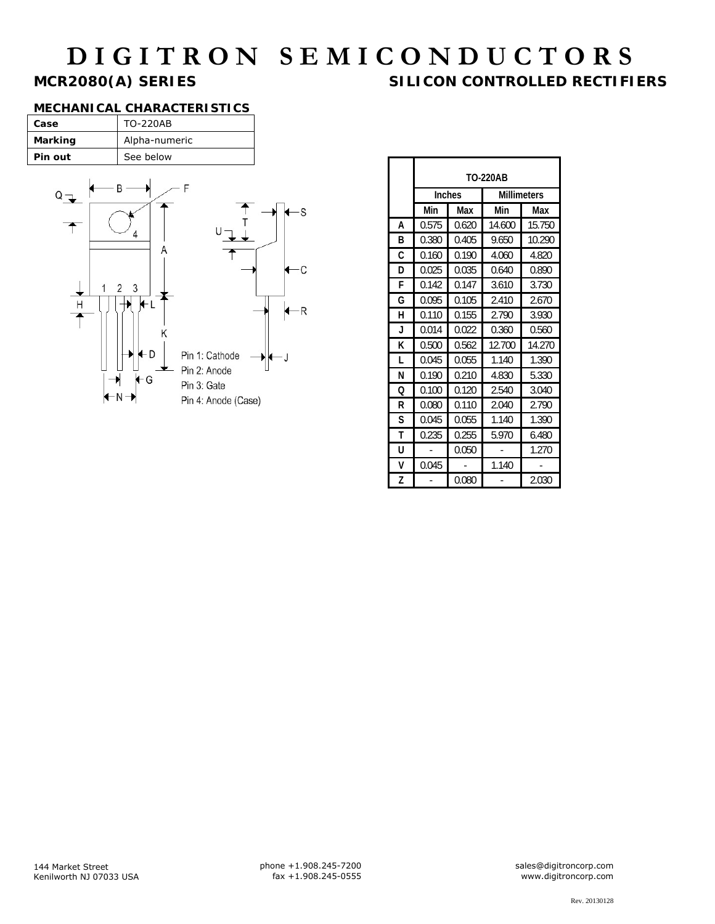## **DIGITRON SEMICONDUCTORS**<br>MCR2080(A) SERIES SILICON CONTROLLED RECTIFI **SILICON CONTROLLED RECTIFIERS**

#### **MECHANICAL CHARACTERISTICS**

| Case    | TO-220AB      |
|---------|---------------|
| Marking | Alpha-numeric |
| Pin out | See below     |



|   | <b>TO-220AB</b> |       |                    |        |
|---|-----------------|-------|--------------------|--------|
|   | Inches          |       | <b>Millimeters</b> |        |
|   | Min             | Max   | Min                | Max    |
| A | 0.575           | 0.620 | 14.600             | 15.750 |
| В | 0.380           | 0.405 | 9.650              | 10.290 |
| C | 0.160           | 0.190 | 4.060              | 4.820  |
| D | 0.025           | 0.035 | 0.640              | 0.890  |
| F | 0.142           | 0.147 | 3.610              | 3.730  |
| G | 0.095           | 0.105 | 2.410              | 2.670  |
| н | 0.110           | 0.155 | 2.790              | 3.930  |
| J | 0.014           | 0.022 | 0.360              | 0.560  |
| K | 0.500           | 0.562 | 12.700             | 14.270 |
| L | 0.045           | 0.055 | 1.140              | 1.390  |
| N | 0.190           | 0.210 | 4.830              | 5.330  |
| Ω | 0.100           | 0.120 | 2.540              | 3.040  |
| R | 0.080           | 0.110 | 2.040              | 2.790  |
| S | 0.045           | 0.055 | 1.140              | 1.390  |
| т | 0.235           | 0.255 | 5.970              | 6.480  |
| U |                 | 0.050 |                    | 1.270  |
| ٧ | 0.045           |       | 1.140              |        |
| Z |                 | 0.080 |                    | 2.030  |